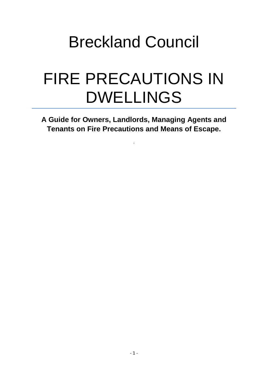# Breckland Council

# FIRE PRECAUTIONS IN DWELLINGS

**A Guide for Owners, Landlords, Managing Agents and Tenants on Fire Precautions and Means of Escape.** 

.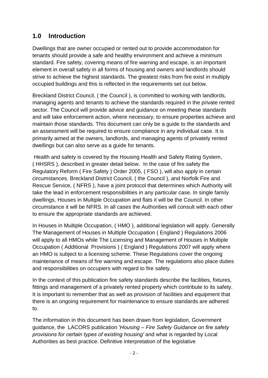# **1.0 Introduction**

 Dwellings that are owner occupied or rented out to provide accommodation for tenants should provide a safe and healthy environment and achieve a minimum standard. Fire safety, covering means of fire warning and escape, is an important element in overall safety in all forms of housing and owners and landlords should strive to achieve the highest standards. The greatest risks from fire exist in multiply occupied buildings and this is reflected in the requirements set out below.

 Breckland District Council, ( the Council ), is committed to working with landlords, managing agents and tenants to achieve the standards required in the private rented primarily aimed at the owners, landlords, and managing agents of privately rented sector. The Council will provide advice and guidance on meeting these standards and will take enforcement action, where necessary, to ensure properties achieve and maintain those standards. This document can only be a guide to the standards and an assessment will be required to ensure compliance in any individual case. It is dwellings but can also serve as a guide for tenants.

 Health and safety is covered by the Housing Health and Safety Rating System, ( HHSRS ), described in greater detail below. In the case of fire safety the Regulatory Reform ( Fire Safety ) Order 2005, ( FSO ), will also apply in certain dwellings, Houses in Multiple Occupation and flats it will be the Council. In other circumstances. Breckland District Council, ( the Council ), and Norfolk Fire and Rescue Service, ( NFRS ), have a joint protocol that determines which Authority will take the lead in enforcement responsibilities in any particular case. In single family circumstance it will be NFRS. In all cases the Authorities will consult with each other to ensure the appropriate standards are achieved.

 maintenance of means of fire warning and escape. The regulations also place duties and responsibilities on occupiers with regard to fire safety. In Houses in Multiple Occupation, ( HMO ), additional legislation will apply. Generally The Management of Houses in Multiple Occupation ( England ) Regulations 2006 will apply to all HMOs while The Licensing and Management of Houses in Multiple Occupation ( Additional Provisions ) ( England ) Regulations 2007 will apply where an HMO is subject to a licensing scheme. These Regulations cover the ongoing

 In the context of this publication fire safety standards describe the facilities, fixtures, fittings and management of a privately rented property which contribute to its safety. It is important to remember that as well as provision of facilities and equipment that there is an ongoing requirement for maintenance to ensure standards are adhered to.

The information in this document has been drawn from legislation, Government guidance, the LACORS publication '*Housing – Fire Safety Guidance on fire safety provisions for certain types of existing housing'* and what is regarded by Local Authorities as best practice. Definitive interpretation of the legislative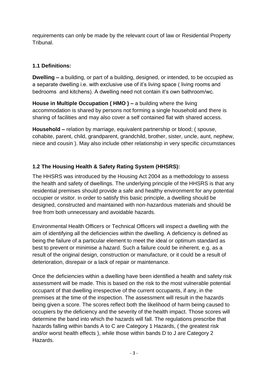requirements can only be made by the relevant court of law or Residential Property Tribunal.

# **1.1 Definitions:**

 bedrooms and kitchens). A dwelling need not contain it's own bathroom/wc. **Dwelling –** a building, or part of a building, designed, or intended, to be occupied as a separate dwelling i.e. with exclusive use of it's living space ( living rooms and

 sharing of facilities and may also cover a self contained flat with shared access. **House in Multiple Occupation ( HMO ) –** a building where the living accommodation is shared by persons not forming a single household and there is

 **Household –** relation by marriage, equivalent partnership or blood; ( spouse,  niece and cousin ). May also include other relationship in very specific circumstances cohabite, parent, child, grandparent, grandchild, brother, sister, uncle, aunt, nephew,

# **1.2 The Housing Health & Safety Rating System (HHSRS):**

 The HHSRS was introduced by the Housing Act 2004 as a methodology to assess the health and safety of dwellings. The underlying principle of the HHSRS is that any designed, constructed and maintained with non-hazardous materials and should be residential premises should provide a safe and healthy environment for any potential occupier or visitor. In order to satisfy this basic principle, a dwelling should be free from both unnecessary and avoidable hazards.

 Environmental Health Officers or Technical Officers will inspect a dwelling with the aim of identifying all the deficiencies within the dwelling. A deficiency is defined as being the failure of a particular element to meet the ideal or optimum standard as best to prevent or minimise a hazard. Such a failure could be inherent, e.g. as a result of the original design, construction or manufacture, or it could be a result of deterioration, disrepair or a lack of repair or maintenance.

 assessment will be made. This is based on the risk to the most vulnerable potential premises at the time of the inspection. The assessment will result in the hazards being given a score. The scores reflect both the likelihood of harm being caused to occupiers by the deficiency and the severity of the health impact. Those scores will determine the band into which the hazards will fall. The regulations prescribe that Hazards. Once the deficiencies within a dwelling have been identified a health and safety risk occupant of that dwelling irrespective of the current occupants, if any, in the hazards falling within bands A to C are Category 1 Hazards, ( the greatest risk and/or worst health effects ), while those within bands D to J are Category 2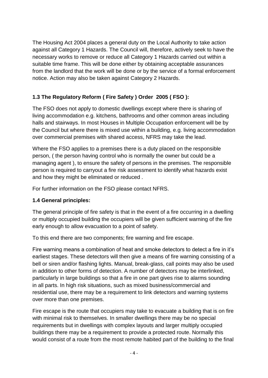The Housing Act 2004 places a general duty on the Local Authority to take action against all Category 1 Hazards. The Council will, therefore, actively seek to have the from the landlord that the work will be done or by the service of a formal enforcement notice. Action may also be taken against Category 2 Hazards. necessary works to remove or reduce all Category 1 Hazards carried out within a suitable time frame. This will be done either by obtaining acceptable assurances

# **1.3 The Regulatory Reform ( Fire Safety ) Order 2005 ( FSO ):**

 the Council but where there is mixed use within a building, e.g. living accommodation over commercial premises with shared access, NFRS may take the lead. The FSO does not apply to domestic dwellings except where there is sharing of living accommodation e.g. kitchens, bathrooms and other common areas including halls and stairways. In most Houses in Multiple Occupation enforcement will be by

 Where the FSO applies to a premises there is a duty placed on the responsible person, ( the person having control who is normally the owner but could be a managing agent ), to ensure the safety of persons in the premises. The responsible and how they might be eliminated or reduced . person is required to carryout a fire risk assessment to identify what hazards exist

For further information on the FSO please contact NFRS.

# **1.4 General principles:**

 The general principle of fire safety is that in the event of a fire occurring in a dwelling or multiply occupied building the occupiers will be given sufficient warning of the fire early enough to allow evacuation to a point of safety.

To this end there are two components; fire warning and fire escape.

 earliest stages. These detectors will then give a means of fire warning consisting of a particularly in large buildings so that a fire in one part gives rise to alarms sounding Fire warning means a combination of heat and smoke detectors to detect a fire in it's bell or siren and/or flashing lights. Manual, break-glass, call points may also be used in addition to other forms of detection. A number of detectors may be interlinked, in all parts. In high risk situations, such as mixed business/commercial and residential use, there may be a requirement to link detectors and warning systems over more than one premises.

 Fire escape is the route that occupiers may take to evacuate a building that is on fire would consist of a route from the most remote habited part of the building to the final with minimal risk to themselves. In smaller dwellings there may be no special requirements but in dwellings with complex layouts and larger multiply occupied buildings there may be a requirement to provide a protected route. Normally this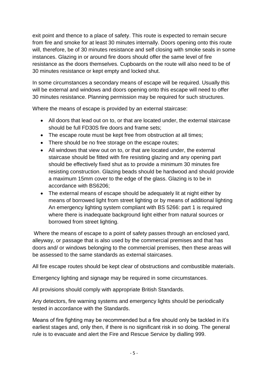exit point and thence to a place of safety. This route is expected to remain secure from fire and smoke for at least 30 minutes internally. Doors opening onto this route will, therefore, be of 30 minutes resistance and self closing with smoke seals in some instances. Glazing in or around fire doors should offer the same level of fire resistance as the doors themselves. Cupboards on the route will also need to be of 30 minutes resistance or kept empty and locked shut.

In some circumstances a secondary means of escape will be required. Usually this will be external and windows and doors opening onto this escape will need to offer 30 minutes resistance. Planning permission may be required for such structures.

Where the means of escape is provided by an external staircase:

- should be full FD30S fire doors and frame sets; All doors that lead out on to, or that are located under, the external staircase
- The escape route must be kept free from obstruction at all times;
- There should be no free storage on the escape routes;
- staircase should be fitted with fire resisting glazing and any opening part should be effectively fixed shut as to provide a minimum 30 minutes fire All windows that view out on to, or that are located under, the external resisting construction. Glazing beads should be hardwood and should provide a maximum 15mm cover to the edge of the glass. Glazing is to be in accordance with BS6206;
- borrowed from street lighting. • The external means of escape should be adequately lit at night either by means of borrowed light from street lighting or by means of additional lighting An emergency lighting system compliant with BS 5266: part 1 is required where there is inadequate background light either from natural sources or

 Where the means of escape to a point of safety passes through an enclosed yard, alleyway, or passage that is also used by the commercial premises and that has doors and/ or windows belonging to the commercial premises, then these areas will be assessed to the same standards as external staircases.

All fire escape routes should be kept clear of obstructions and combustible materials.

Emergency lighting and signage may be required in some circumstances.

All provisions should comply with appropriate British Standards.

Any detectors, fire warning systems and emergency lights should be periodically tested in accordance with the Standards.

 Means of fire fighting may be recommended but a fire should only be tackled in it's rule is to evacuate and alert the Fire and Rescue Service by dialling 999. earliest stages and, only then, if there is no significant risk in so doing. The general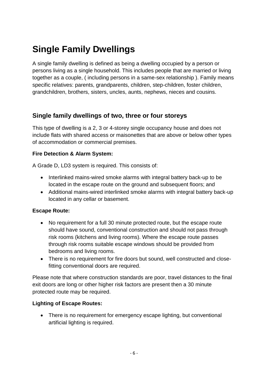# **Single Family Dwellings**

 persons living as a single household. This includes people that are married or living together as a couple, ( including persons in a same-sex relationship ). Family means A single family dwelling is defined as being a dwelling occupied by a person or specific relatives: parents, grandparents, children, step-children, foster children, grandchildren, brothers, sisters, uncles, aunts, nephews, nieces and cousins.

# **Single family dwellings of two, three or four storeys**

 This type of dwelling is a 2, 3 or 4-storey single occupancy house and does not include flats with shared access or maisonettes that are above or below other types of accommodation or commercial premises.

# **Fire Detection & Alarm System:**

A Grade D, LD3 system is required. This consists of:

- located in the escape route on the ground and subsequent floors; and • Interlinked mains-wired smoke alarms with integral battery back-up to be
- located in any cellar or basement. Additional mains-wired interlinked smoke alarms with integral battery back-up

#### **Escape Route:**

- No requirement for a full 30 minute protected route, but the escape route through risk rooms suitable escape windows should be provided from should have sound, conventional construction and should not pass through risk rooms (kitchens and living rooms). Where the escape route passes bedrooms and living rooms.
- There is no requirement for fire doors but sound, well constructed and closefitting conventional doors are required.

 exit doors are long or other higher risk factors are present then a 30 minute Please note that where construction standards are poor, travel distances to the final protected route may be required.

#### **Lighting of Escape Routes:**

• There is no requirement for emergency escape lighting, but conventional artificial lighting is required.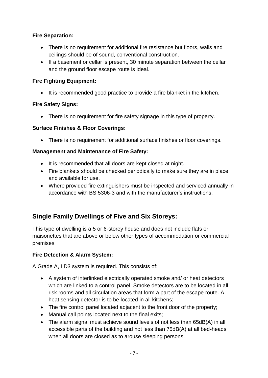# **Fire Separation:**

- There is no requirement for additional fire resistance but floors, walls and ceilings should be of sound, conventional construction.
- If a basement or cellar is present, 30 minute separation between the cellar and the ground floor escape route is ideal.

# **Fire Fighting Equipment:**

• It is recommended good practice to provide a fire blanket in the kitchen.

# **Fire Safety Signs:**

• There is no requirement for fire safety signage in this type of property.

# **Surface Finishes & Floor Coverings:**

• There is no requirement for additional surface finishes or floor coverings.

# **Management and Maintenance of Fire Safety:**

- It is recommended that all doors are kept closed at night.
- Fire blankets should be checked periodically to make sure they are in place and available for use.
- Where provided fire extinguishers must be inspected and serviced annually in accordance with BS 5306-3 and with the manufacturer's instructions.

# **Single Family Dwellings of Five and Six Storeys:**

 This type of dwelling is a 5 or 6-storey house and does not include flats or maisonettes that are above or below other types of accommodation or commercial premises.

# **Fire Detection & Alarm System:**

A Grade A, LD3 system is required. This consists of:

- which are linked to a control panel. Smoke detectors are to be located in all risk rooms and all circulation areas that form a part of the escape route. A heat sensing detector is to be located in all kitchens; A system of interlinked electrically operated smoke and/ or heat detectors
- The fire control panel located adjacent to the front door of the property;
- Manual call points located next to the final exits;
- accessible parts of the building and not less than 75dB(A) at all bed-heads when all doors are closed as to arouse sleeping persons. • The alarm signal must achieve sound levels of not less than 65dB(A) in all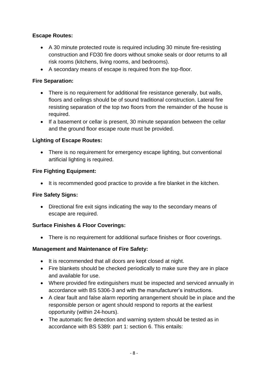# **Escape Routes:**

- A 30 minute protected route is required including 30 minute fire-resisting construction and FD30 fire doors without smoke seals or door returns to all risk rooms (kitchens, living rooms, and bedrooms).
- A secondary means of escape is required from the top-floor.

# **Fire Separation:**

- There is no requirement for additional fire resistance generally, but walls, floors and ceilings should be of sound traditional construction. Lateral fire resisting separation of the top two floors from the remainder of the house is required.
- If a basement or cellar is present, 30 minute separation between the cellar and the ground floor escape route must be provided.

# **Lighting of Escape Routes:**

 There is no requirement for emergency escape lighting, but conventional artificial lighting is required.

# **Fire Fighting Equipment:**

• It is recommended good practice to provide a fire blanket in the kitchen.

#### **Fire Safety Signs:**

 Directional fire exit signs indicating the way to the secondary means of escape are required.

# **Surface Finishes & Floor Coverings:**

There is no requirement for additional surface finishes or floor coverings.

# **Management and Maintenance of Fire Safety:**

- It is recommended that all doors are kept closed at night.
- Fire blankets should be checked periodically to make sure they are in place and available for use.
- Where provided fire extinguishers must be inspected and serviced annually in accordance with BS 5306-3 and with the manufacturer's instructions.
- A clear fault and false alarm reporting arrangement should be in place and the responsible person or agent should respond to reports at the earliest opportunity (within 24-hours).
- The automatic fire detection and warning system should be tested as in accordance with BS 5389: part 1: section 6. This entails: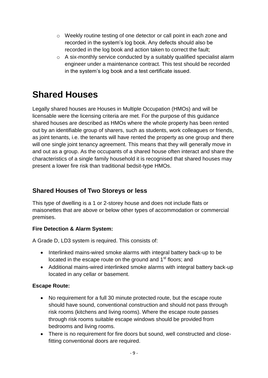- o Weekly routine testing of one detector or call point in each zone and recorded in the log book and action taken to correct the fault; recorded in the system's log book. Any defects should also be
- o A six-monthly service conducted by a suitably qualified specialist alarm engineer under a maintenance contract. This test should be recorded in the system's log book and a test certificate issued.

# **Shared Houses**

 licensable were the licensing criteria are met. For the purpose of this guidance will one single joint tenancy agreement. This means that they will generally move in and out as a group. As the occupants of a shared house often interact and share the characteristics of a single family household it is recognised that shared houses may Legally shared houses are Houses in Multiple Occupation (HMOs) and will be shared houses are described as HMOs where the whole property has been rented out by an identifiable group of sharers, such as students, work colleagues or friends, as joint tenants, i.e. the tenants will have rented the property as one group and there present a lower fire risk than traditional bedsit-type HMOs.

# **Shared Houses of Two Storeys or less**

 This type of dwelling is a 1 or 2-storey house and does not include flats or maisonettes that are above or below other types of accommodation or commercial premises.

# **Fire Detection & Alarm System:**

A Grade D, LD3 system is required. This consists of:

- located in the escape route on the ground and 1<sup>st</sup> floors; and • Interlinked mains-wired smoke alarms with integral battery back-up to be
- Additional mains-wired interlinked smoke alarms with integral battery back-up located in any cellar or basement.

# **Escape Route:**

- No requirement for a full 30 minute protected route, but the escape route through risk rooms suitable escape windows should be provided from should have sound, conventional construction and should not pass through risk rooms (kitchens and living rooms). Where the escape route passes bedrooms and living rooms.
- There is no requirement for fire doors but sound, well constructed and closefitting conventional doors are required.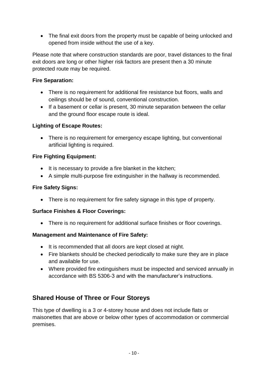The final exit doors from the property must be capable of being unlocked and opened from inside without the use of a key.

 exit doors are long or other higher risk factors are present then a 30 minute Please note that where construction standards are poor, travel distances to the final protected route may be required.

# **Fire Separation:**

- There is no requirement for additional fire resistance but floors, walls and ceilings should be of sound, conventional construction.
- If a basement or cellar is present, 30 minute separation between the cellar and the ground floor escape route is ideal.

# **Lighting of Escape Routes:**

• There is no requirement for emergency escape lighting, but conventional artificial lighting is required.

# **Fire Fighting Equipment:**

- It is necessary to provide a fire blanket in the kitchen;
- A simple multi-purpose fire extinguisher in the hallway is recommended.

#### **Fire Safety Signs:**

• There is no requirement for fire safety signage in this type of property.

# **Surface Finishes & Floor Coverings:**

• There is no requirement for additional surface finishes or floor coverings.

#### **Management and Maintenance of Fire Safety:**

- It is recommended that all doors are kept closed at night.
- Fire blankets should be checked periodically to make sure they are in place and available for use.
- Where provided fire extinguishers must be inspected and serviced annually in accordance with BS 5306-3 and with the manufacturer's instructions.

# **Shared House of Three or Four Storeys**

 This type of dwelling is a 3 or 4-storey house and does not include flats or maisonettes that are above or below other types of accommodation or commercial premises.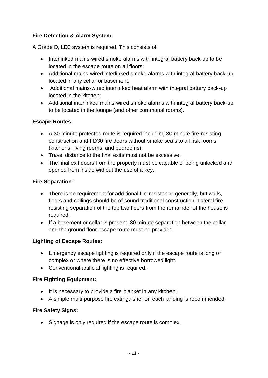# **Fire Detection & Alarm System:**

A Grade D, LD3 system is required. This consists of:

- located in the escape route on all floors; • Interlinked mains-wired smoke alarms with integral battery back-up to be
- Additional mains-wired interlinked smoke alarms with integral battery back-up located in any cellar or basement;
- Additional mains-wired interlinked heat alarm with integral battery back-up located in the kitchen;
- Additional interlinked mains-wired smoke alarms with integral battery back-up to be located in the lounge (and other communal rooms).

# **Escape Routes:**

- A 30 minute protected route is required including 30 minute fire-resisting construction and FD30 fire doors without smoke seals to all risk rooms (kitchens, living rooms, and bedrooms).
- Travel distance to the final exits must not be excessive.
- The final exit doors from the property must be capable of being unlocked and opened from inside without the use of a key.

#### **Fire Separation:**

- resisting separation of the top two floors from the remainder of the house is • There is no requirement for additional fire resistance generally, but walls, floors and ceilings should be of sound traditional construction. Lateral fire required.
- If a basement or cellar is present, 30 minute separation between the cellar and the ground floor escape route must be provided.

# **Lighting of Escape Routes:**

- Emergency escape lighting is required only if the escape route is long or complex or where there is no effective borrowed light.
- Conventional artificial lighting is required.

# **Fire Fighting Equipment:**

- It is necessary to provide a fire blanket in any kitchen;
- A simple multi-purpose fire extinguisher on each landing is recommended.

#### **Fire Safety Signs:**

• Signage is only required if the escape route is complex.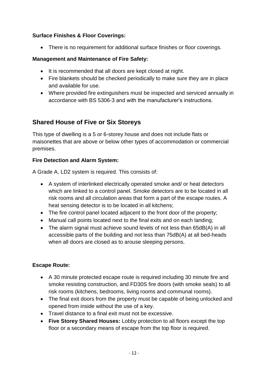# **Surface Finishes & Floor Coverings:**

• There is no requirement for additional surface finishes or floor coverings.

# **Management and Maintenance of Fire Safety:**

- It is recommended that all doors are kept closed at night.
- Fire blankets should be checked periodically to make sure they are in place and available for use.
- accordance with BS 5306-3 and with the manufacturer's instructions. Where provided fire extinguishers must be inspected and serviced annually in

# **Shared House of Five or Six Storeys**

 This type of dwelling is a 5 or 6-storey house and does not include flats or maisonettes that are above or below other types of accommodation or commercial premises.

# **Fire Detection and Alarm System:**

A Grade A, LD2 system is required. This consists of:

- which are linked to a control panel. Smoke detectors are to be located in all risk rooms and all circulation areas that form a part of the escape routes. A heat sensing detector is to be located in all kitchens; A system of interlinked electrically operated smoke and/ or heat detectors
- The fire control panel located adjacent to the front door of the property;
- Manual call points located next to the final exits and on each landing;
- accessible parts of the building and not less than 75dB(A) at all bed-heads when all doors are closed as to arouse sleeping persons. The alarm signal must achieve sound levels of not less than 65dB(A) in all

# **Escape Route:**

- A 30 minute protected escape route is required including 30 minute fire and smoke resisting construction, and FD30S fire doors (with smoke seals) to all risk rooms (kitchens, bedrooms, living rooms and communal rooms).
- The final exit doors from the property must be capable of being unlocked and opened from inside without the use of a key.
- Travel distance to a final exit must not be excessive.
- floor or a secondary means of escape from the top floor is required. **Five Storey Shared Houses:** Lobby protection to all floors except the top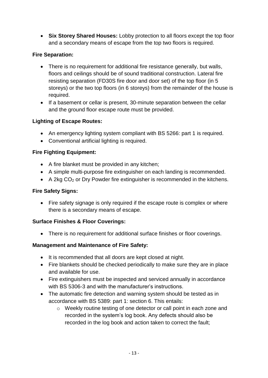**Six Storey Shared Houses:** Lobby protection to all floors except the top floor and a secondary means of escape from the top two floors is required.

# **Fire Separation:**

- resisting separation (FD30S fire door and door set) of the top floor (in 5 storeys) or the two top floors (in 6 storeys) from the remainder of the house is • There is no requirement for additional fire resistance generally, but walls, floors and ceilings should be of sound traditional construction. Lateral fire required.
- If a basement or cellar is present, 30-minute separation between the cellar and the ground floor escape route must be provided.

# **Lighting of Escape Routes:**

- An emergency lighting system compliant with BS 5266: part 1 is required.
- Conventional artificial lighting is required.

# **Fire Fighting Equipment:**

- A fire blanket must be provided in any kitchen;
- A simple multi-purpose fire extinguisher on each landing is recommended.
- $\bullet$  A 2kg CO<sub>2</sub> or Dry Powder fire extinguisher is recommended in the kitchens.

# **Fire Safety Signs:**

 there is a secondary means of escape. • Fire safety signage is only required if the escape route is complex or where

# **Surface Finishes & Floor Coverings:**

• There is no requirement for additional surface finishes or floor coverings.

# **Management and Maintenance of Fire Safety:**

- It is recommended that all doors are kept closed at night.
- Fire blankets should be checked periodically to make sure they are in place and available for use.
- Fire extinguishers must be inspected and serviced annually in accordance with BS 5306-3 and with the manufacturer's instructions.
- The automatic fire detection and warning system should be tested as in accordance with BS 5389: part 1: section 6. This entails:
	- o Weekly routine testing of one detector or call point in each zone and recorded in the log book and action taken to correct the fault; recorded in the system's log book. Any defects should also be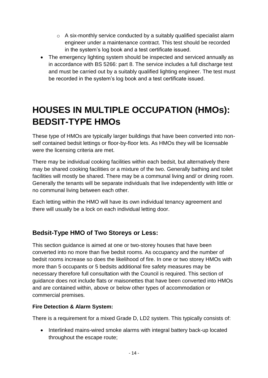- o A six-monthly service conducted by a suitably qualified specialist alarm engineer under a maintenance contract. This test should be recorded in the system's log book and a test certificate issued.
- and must be carried out by a suitably qualified lighting engineer. The test must • The emergency lighting system should be inspected and serviced annually as in accordance with BS 5266: part 8. The service includes a full discharge test be recorded in the system's log book and a test certificate issued.

# **HOUSES IN MULTIPLE OCCUPATION (HMOs): BEDSIT-TYPE HMOs**

were the licensing criteria are met. These type of HMOs are typically larger buildings that have been converted into nonself contained bedsit lettings or floor-by-floor lets. As HMOs they will be licensable

 Generally the tenants will be separate individuals that live independently with little or no communal living between each other. There may be individual cooking facilities within each bedsit, but alternatively there may be shared cooking facilities or a mixture of the two. Generally bathing and toilet facilities will mostly be shared. There may be a communal living and/ or dining room.

 there will usually be a lock on each individual letting door. Each letting within the HMO will have its own individual tenancy agreement and

# **Bedsit-Type HMO of Two Storeys or Less:**

 converted into no more than five bedsit rooms. As occupancy and the number of bedsit rooms increase so does the likelihood of fire. In one or two storey HMOs with This section guidance is aimed at one or two-storey houses that have been more than 5 occupants or 5 bedsits additional fire safety measures may be necessary therefore full consultation with the Council is required. This section of guidance does not include flats or maisonettes that have been converted into HMOs and are contained within, above or below other types of accommodation or commercial premises.

# **Fire Detection & Alarm System:**

There is a requirement for a mixed Grade D, LD2 system. This typically consists of:

 throughout the escape route; • Interlinked mains-wired smoke alarms with integral battery back-up located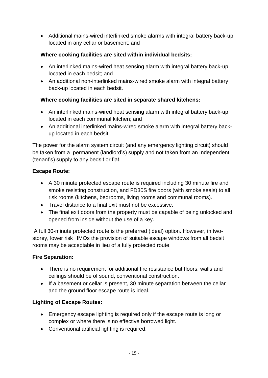located in any cellar or basement; and Additional mains-wired interlinked smoke alarms with integral battery back-up

# **Where cooking facilities are sited within individual bedsits:**

- located in each bedsit; and An interlinked mains-wired heat sensing alarm with integral battery back-up
- An additional non-interlinked mains-wired smoke alarm with integral battery back-up located in each bedsit.

# **Where cooking facilities are sited in separate shared kitchens:**

- An interlinked mains-wired heat sensing alarm with integral battery back-up located in each communal kitchen; and
- An additional interlinked mains-wired smoke alarm with integral battery back-up located in each bedsit.

 be taken from a permanent (landlord's) supply and not taken from an independent The power for the alarm system circuit (and any emergency lighting circuit) should (tenant's) supply to any bedsit or flat.

# **Escape Route:**

- A 30 minute protected escape route is required including 30 minute fire and smoke resisting construction, and FD30S fire doors (with smoke seals) to all risk rooms (kitchens, bedrooms, living rooms and communal rooms).
- Travel distance to a final exit must not be excessive.
- The final exit doors from the property must be capable of being unlocked and opened from inside without the use of a key.

 A full 30-minute protected route is the preferred (ideal) option. However, in two- rooms may be acceptable in lieu of a fully protected route. storey, lower risk HMOs the provision of suitable escape windows from all bedsit

# **Fire Separation:**

- There is no requirement for additional fire resistance but floors, walls and ceilings should be of sound, conventional construction.
- If a basement or cellar is present, 30 minute separation between the cellar and the ground floor escape route is ideal.

# **Lighting of Escape Routes:**

- Emergency escape lighting is required only if the escape route is long or complex or where there is no effective borrowed light.
- Conventional artificial lighting is required.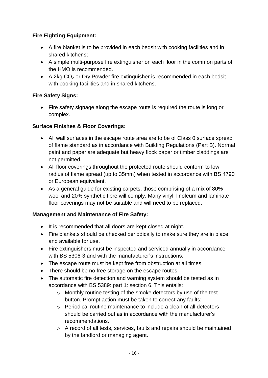# **Fire Fighting Equipment:**

- A fire blanket is to be provided in each bedsit with cooking facilities and in shared kitchens;
- A simple multi-purpose fire extinguisher on each floor in the common parts of the HMO is recommended.
- $\bullet$  A 2kg CO<sub>2</sub> or Dry Powder fire extinguisher is recommended in each bedsit with cooking facilities and in shared kitchens.

# **Fire Safety Signs:**

 Fire safety signage along the escape route is required the route is long or complex.

# **Surface Finishes & Floor Coverings:**

- All wall surfaces in the escape route area are to be of Class 0 surface spread of flame standard as in accordance with Building Regulations (Part B). Normal paint and paper are adequate but heavy flock paper or timber claddings are not permitted.
- radius of flame spread (up to 35mm) when tested in accordance with BS 4790 or European equivalent. All floor coverings throughout the protected route should conform to low
- As a general guide for existing carpets, those comprising of a mix of 80% floor coverings may not be suitable and will need to be replaced. wool and 20% synthetic fibre will comply. Many vinyl, linoleum and laminate

# **Management and Maintenance of Fire Safety:**

- It is recommended that all doors are kept closed at night.
- Fire blankets should be checked periodically to make sure they are in place and available for use.
- Fire extinguishers must be inspected and serviced annually in accordance with BS 5306-3 and with the manufacturer's instructions.
- The escape route must be kept free from obstruction at all times.
- There should be no free storage on the escape routes.
- The automatic fire detection and warning system should be tested as in accordance with BS 5389: part 1: section 6. This entails:
	- button. Prompt action must be taken to correct any faults; o Monthly routine testing of the smoke detectors by use of the test
	- $\circ$  Periodical routine maintenance to include a clean of all detectors should be carried out as in accordance with the manufacturer's recommendations.
	- $\circ$  A record of all tests, services, faults and repairs should be maintained by the landlord or managing agent.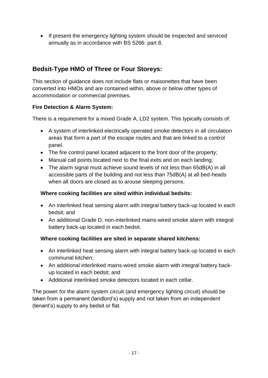• If present the emergency lighting system should be inspected and serviced annually as in accordance with BS 5266: part 8.

# **Bedsit-Type HMO of Three or Four Storeys:**

This section of guidance does not include flats or maisonettes that have been converted into HMOs and are contained within, above or below other types of accommodation or commercial premises.

# **Fire Detection & Alarm System:**

There is a requirement for a mixed Grade A, LD2 system. This typically consists of:

- A system of interlinked electrically operated smoke detectors in all circulation areas that form a part of the escape routes and that are linked to a control panel.
- The fire control panel located adjacent to the front door of the property;
- Manual call points located next to the final exits and on each landing;
- accessible parts of the building and not less than 75dB(A) at all bed-heads when all doors are closed as to arouse sleeping persons. The alarm signal must achieve sound levels of not less than 65dB(A) in all

#### **Where cooking facilities are sited within individual bedsits:**

- An interlinked heat sensing alarm with integral battery back-up located in each bedsit; and
- battery back-up located in each bedsit. An additional Grade D, non-interlinked mains-wired smoke alarm with integral

#### **Where cooking facilities are sited in separate shared kitchens:**

- An interlinked heat sensing alarm with integral battery back-up located in each communal kitchen;
- up located in each bedsit; and An additional interlinked mains-wired smoke alarm with integral battery back-
- Additional interlinked smoke detectors located in each cellar.

 taken from a permanent (landlord's) supply and not taken from an independent The power for the alarm system circuit (and emergency lighting circuit) should be (tenant's) supply to any bedsit or flat.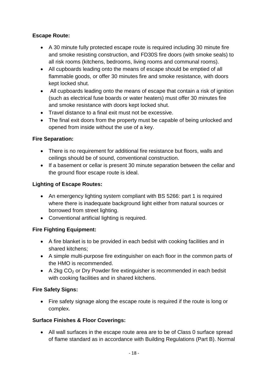# **Escape Route:**

- A 30 minute fully protected escape route is required including 30 minute fire and smoke resisting construction, and FD30S fire doors (with smoke seals) to all risk rooms (kitchens, bedrooms, living rooms and communal rooms).
- flammable goods, or offer 30 minutes fire and smoke resistance, with doors All cupboards leading onto the means of escape should be emptied of all kept locked shut.
- All cupboards leading onto the means of escape that contain a risk of ignition and smoke resistance with doors kept locked shut. (such as electrical fuse boards or water heaters) must offer 30 minutes fire
- Travel distance to a final exit must not be excessive.
- The final exit doors from the property must be capable of being unlocked and opened from inside without the use of a key.

# **Fire Separation:**

- There is no requirement for additional fire resistance but floors, walls and ceilings should be of sound, conventional construction.
- If a basement or cellar is present 30 minute separation between the cellar and the ground floor escape route is ideal.

# **Lighting of Escape Routes:**

- An emergency lighting system compliant with BS 5266: part 1 is required where there is inadequate background light either from natural sources or borrowed from street lighting.
- Conventional artificial lighting is required.

# **Fire Fighting Equipment:**

- A fire blanket is to be provided in each bedsit with cooking facilities and in shared kitchens;
- A simple multi-purpose fire extinguisher on each floor in the common parts of the HMO is recommended.
- $\bullet$  A 2kg CO<sub>2</sub> or Dry Powder fire extinguisher is recommended in each bedsit with cooking facilities and in shared kitchens.

# **Fire Safety Signs:**

• Fire safety signage along the escape route is required if the route is long or complex.

# **Surface Finishes & Floor Coverings:**

 All wall surfaces in the escape route area are to be of Class 0 surface spread of flame standard as in accordance with Building Regulations (Part B). Normal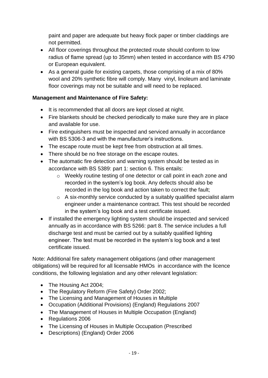paint and paper are adequate but heavy flock paper or timber claddings are not permitted.

- radius of flame spread (up to 35mm) when tested in accordance with BS 4790 or European equivalent. All floor coverings throughout the protected route should conform to low
- As a general guide for existing carpets, those comprising of a mix of 80% wool and 20% synthetic fibre will comply. Many vinyl, linoleum and laminate floor coverings may not be suitable and will need to be replaced.

# **Management and Maintenance of Fire Safety:**

- It is recommended that all doors are kept closed at night.
- Fire blankets should be checked periodically to make sure they are in place and available for use.
- Fire extinguishers must be inspected and serviced annually in accordance with BS 5306-3 and with the manufacturer's instructions.
- The escape route must be kept free from obstruction at all times.
- There should be no free storage on the escape routes.
- The automatic fire detection and warning system should be tested as in accordance with BS 5389: part 1: section 6. This entails:
	- o Weekly routine testing of one detector or call point in each zone and recorded in the log book and action taken to correct the fault; recorded in the system's log book. Any defects should also be
	- in the system's log book and a test certificate issued. o A six-monthly service conducted by a suitably qualified specialist alarm engineer under a maintenance contract. This test should be recorded
- If installed the emergency lighting system should be inspected and serviced annually as in accordance with BS 5266: part 8. The service includes a full discharge test and must be carried out by a suitably qualified lighting engineer. The test must be recorded in the system's log book and a test certificate issued.

 obligations) will be required for all licensable HMOs in accordance with the licence conditions, the following legislation and any other relevant legislation: Note: Additional fire safety management obligations (and other management

- The Housing Act 2004;
- The Regulatory Reform (Fire Safety) Order 2002;
- The Licensing and Management of Houses in Multiple
- Occupation (Additional Provisions) (England) Regulations 2007
- The Management of Houses in Multiple Occupation (England)
- Regulations 2006
- The Licensing of Houses in Multiple Occupation (Prescribed
- Descriptions) (England) Order 2006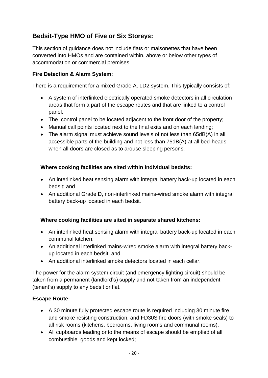# **Bedsit-Type HMO of Five or Six Storeys:**

This section of guidance does not include flats or maisonettes that have been converted into HMOs and are contained within, above or below other types of accommodation or commercial premises.

# **Fire Detection & Alarm System:**

There is a requirement for a mixed Grade A, LD2 system. This typically consists of:

- A system of interlinked electrically operated smoke detectors in all circulation areas that form a part of the escape routes and that are linked to a control panel.
- The control panel to be located adjacent to the front door of the property;
- Manual call points located next to the final exits and on each landing;
- accessible parts of the building and not less than 75dB(A) at all bed-heads when all doors are closed as to arouse sleeping persons. The alarm signal must achieve sound levels of not less than 65dB(A) in all

# **Where cooking facilities are sited within individual bedsits:**

- An interlinked heat sensing alarm with integral battery back-up located in each bedsit; and
- battery back-up located in each bedsit. An additional Grade D, non-interlinked mains-wired smoke alarm with integral

# **Where cooking facilities are sited in separate shared kitchens:**

- An interlinked heat sensing alarm with integral battery back-up located in each communal kitchen;
- up located in each bedsit; and An additional interlinked mains-wired smoke alarm with integral battery back-
- An additional interlinked smoke detectors located in each cellar.

 taken from a permanent (landlord's) supply and not taken from an independent The power for the alarm system circuit (and emergency lighting circuit) should be (tenant's) supply to any bedsit or flat.

# **Escape Route:**

- A 30 minute fully protected escape route is required including 30 minute fire and smoke resisting construction, and FD30S fire doors (with smoke seals) to all risk rooms (kitchens, bedrooms, living rooms and communal rooms).
- combustible goods and kept locked; All cupboards leading onto the means of escape should be emptied of all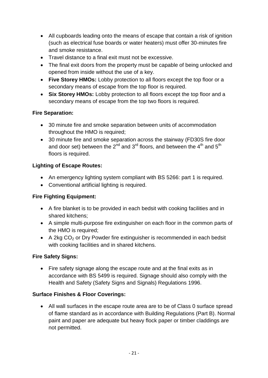- and smoke resistance. All cupboards leading onto the means of escape that contain a risk of ignition (such as electrical fuse boards or water heaters) must offer 30-minutes fire
- Travel distance to a final exit must not be excessive.
- The final exit doors from the property must be capable of being unlocked and opened from inside without the use of a key.
- **Five Storey HMOs:** Lobby protection to all floors except the top floor or a secondary means of escape from the top floor is required.
- **Six Storey HMOs:** Lobby protection to all floors except the top floor and a secondary means of escape from the top two floors is required.

# **Fire Separation:**

- 30 minute fire and smoke separation between units of accommodation throughout the HMO is required;
- 30 minute fire and smoke separation across the stairway (FD30S fire door and door set) between the 2<sup>nd</sup> and 3<sup>rd</sup> floors, and between the 4<sup>th</sup> and 5<sup>th</sup> floors is required.

# **Lighting of Escape Routes:**

- An emergency lighting system compliant with BS 5266: part 1 is required.
- Conventional artificial lighting is required.

# **Fire Fighting Equipment:**

- A fire blanket is to be provided in each bedsit with cooking facilities and in shared kitchens;
- A simple multi-purpose fire extinguisher on each floor in the common parts of the HMO is required;
- $\bullet$  A 2kg CO<sub>2</sub> or Dry Powder fire extinguisher is recommended in each bedsit with cooking facilities and in shared kitchens.

#### **Fire Safety Signs:**

• Fire safety signage along the escape route and at the final exits as in Health and Safety (Safety Signs and Signals) Regulations 1996. accordance with BS 5499 is required. Signage should also comply with the

# **Surface Finishes & Floor Coverings:**

 All wall surfaces in the escape route area are to be of Class 0 surface spread of flame standard as in accordance with Building Regulations (Part B). Normal paint and paper are adequate but heavy flock paper or timber claddings are not permitted.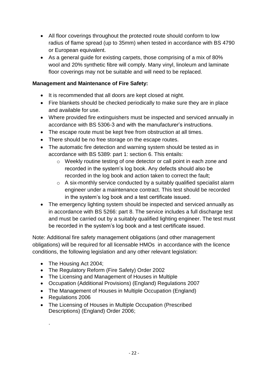- radius of flame spread (up to 35mm) when tested in accordance with BS 4790 or European equivalent. All floor coverings throughout the protected route should conform to low
- As a general guide for existing carpets, those comprising of a mix of 80% floor coverings may not be suitable and will need to be replaced. wool and 20% synthetic fibre will comply. Many vinyl, linoleum and laminate

# **Management and Maintenance of Fire Safety:**

- It is recommended that all doors are kept closed at night.
- Fire blankets should be checked periodically to make sure they are in place and available for use.
- Where provided fire extinguishers must be inspected and serviced annually in accordance with BS 5306-3 and with the manufacturer's instructions.
- The escape route must be kept free from obstruction at all times.
- There should be no free storage on the escape routes.
- The automatic fire detection and warning system should be tested as in accordance with BS 5389: part 1: section 6. This entails:
	- o Weekly routine testing of one detector or call point in each zone and recorded in the log book and action taken to correct the fault; recorded in the system's log book. Any defects should also be
	- o A six-monthly service conducted by a suitably qualified specialist alarm engineer under a maintenance contract. This test should be recorded in the system's log book and a test certificate issued.
- in accordance with BS 5266: part 8. The service includes a full discharge test and must be carried out by a suitably qualified lighting engineer. The test must • The emergency lighting system should be inspected and serviced annually as be recorded in the system's log book and a test certificate issued.

 obligations) will be required for all licensable HMOs in accordance with the licence conditions, the following legislation and any other relevant legislation: Note: Additional fire safety management obligations (and other management

- The Housing Act 2004;
- The Regulatory Reform (Fire Safety) Order 2002
- The Licensing and Management of Houses in Multiple
- Occupation (Additional Provisions) (England) Regulations 2007
- The Management of Houses in Multiple Occupation (England)
- Regulations 2006

.

• The Licensing of Houses in Multiple Occupation (Prescribed Descriptions) (England) Order 2006;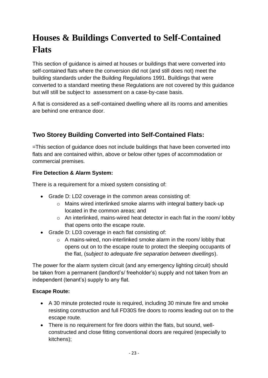# **Houses & Buildings Converted to Self-Contained Flats**

 self-contained flats where the conversion did not (and still does not) meet the building standards under the Building Regulations 1991. Buildings that were but will still be subject to assessment on a case-by-case basis. This section of guidance is aimed at houses or buildings that were converted into converted to a standard meeting these Regulations are not covered by this guidance

 A flat is considered as a self-contained dwelling where all its rooms and amenities are behind one entrance door.

# **Two Storey Building Converted into Self-Contained Flats:**

=This section of guidance does not include buildings that have been converted into flats and are contained within, above or below other types of accommodation or commercial premises.

# **Fire Detection & Alarm System:**

There is a requirement for a mixed system consisting of:

- Grade D: LD2 coverage in the common areas consisting of:
	- o Mains wired interlinked smoke alarms with integral battery back-up located in the common areas; and
	- o An interlinked, mains-wired heat detector in each flat in the room/ lobby that opens onto the escape route.
- Grade D: LD3 coverage in each flat consisting of:
	- o A mains-wired, non-interlinked smoke alarm in the room/ lobby that opens out on to the escape route to protect the sleeping occupants of the flat, (s*ubject to adequate fire separation between dwellings*).

 be taken from a permanent (landlord's/ freeholder's) supply and not taken from an The power for the alarm system circuit (and any emergency lighting circuit) should independent (tenant's) supply to any flat.

# **Escape Route:**

- A 30 minute protected route is required, including 30 minute fire and smoke resisting construction and full FD30S fire doors to rooms leading out on to the escape route.
- constructed and close fitting conventional doors are required (especially to There is no requirement for fire doors within the flats, but sound, wellkitchens);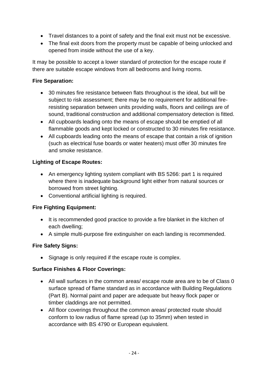- Travel distances to a point of safety and the final exit must not be excessive.
- The final exit doors from the property must be capable of being unlocked and opened from inside without the use of a key.

 It may be possible to accept a lower standard of protection for the escape route if there are suitable escape windows from all bedrooms and living rooms.

# **Fire Separation:**

- 30 minutes fire resistance between flats throughout is the ideal, but will be subject to risk assessment; there may be no requirement for additional fireresisting separation between units providing walls, floors and ceilings are of sound, traditional construction and additional compensatory detection is fitted.
- flammable goods and kept locked or constructed to 30 minutes fire resistance. All cupboards leading onto the means of escape should be emptied of all
- and smoke resistance. All cupboards leading onto the means of escape that contain a risk of ignition (such as electrical fuse boards or water heaters) must offer 30 minutes fire

# **Lighting of Escape Routes:**

- An emergency lighting system compliant with BS 5266: part 1 is required where there is inadequate background light either from natural sources or borrowed from street lighting.
- Conventional artificial lighting is required.

# **Fire Fighting Equipment:**

- It is recommended good practice to provide a fire blanket in the kitchen of each dwelling;
- A simple multi-purpose fire extinguisher on each landing is recommended.

# **Fire Safety Signs:**

• Signage is only required if the escape route is complex.

# **Surface Finishes & Floor Coverings:**

- All wall surfaces in the common areas/ escape route area are to be of Class 0 (Part B). Normal paint and paper are adequate but heavy flock paper or surface spread of flame standard as in accordance with Building Regulations timber claddings are not permitted.
- accordance with BS 4790 or European equivalent. All floor coverings throughout the common areas/ protected route should conform to low radius of flame spread (up to 35mm) when tested in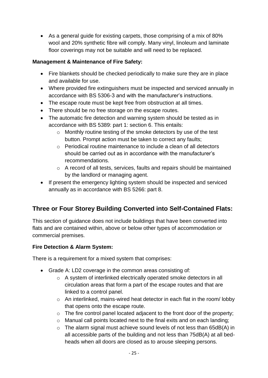As a general guide for existing carpets, those comprising of a mix of 80% floor coverings may not be suitable and will need to be replaced. wool and 20% synthetic fibre will comply. Many vinyl, linoleum and laminate

# **Management & Maintenance of Fire Safety:**

- Fire blankets should be checked periodically to make sure they are in place and available for use.
- Where provided fire extinguishers must be inspected and serviced annually in accordance with BS 5306-3 and with the manufacturer's instructions.
- The escape route must be kept free from obstruction at all times.
- There should be no free storage on the escape routes.
- The automatic fire detection and warning system should be tested as in accordance with BS 5389: part 1: section 6. This entails:
	- button. Prompt action must be taken to correct any faults; o Monthly routine testing of the smoke detectors by use of the test
	- o Periodical routine maintenance to include a clean of all detectors should be carried out as in accordance with the manufacturer's recommendations.
	- $\circ$  A record of all tests, services, faults and repairs should be maintained by the landlord or managing agent.
- If present the emergency lighting system should be inspected and serviced annually as in accordance with BS 5266: part 8.

# **Three or Four Storey Building Converted into Self-Contained Flats:**

This section of guidance does not include buildings that have been converted into flats and are contained within, above or below other types of accommodation or commercial premises.

# **Fire Detection & Alarm System:**

There is a requirement for a mixed system that comprises:

- Grade A: LD2 coverage in the common areas consisting of:
	- o A system of interlinked electrically operated smoke detectors in all circulation areas that form a part of the escape routes and that are linked to a control panel.
	- o An interlinked, mains-wired heat detector in each flat in the room/ lobby that opens onto the escape route.
	- $\circ$  The fire control panel located adjacent to the front door of the property;
	- o Manual call points located next to the final exits and on each landing;
	- $\circ$  The alarm signal must achieve sound levels of not less than 65dB(A) in all accessible parts of the building and not less than 75dB(A) at all bedheads when all doors are closed as to arouse sleeping persons.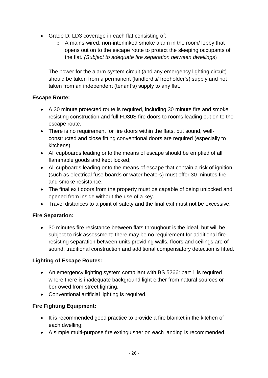- Grade D: LD3 coverage in each flat consisting of:
	- the flat*. (Subject to adequate fire separation between dwellings*) o A mains-wired, non-interlinked smoke alarm in the room/ lobby that opens out on to the escape route to protect the sleeping occupants of

 should be taken from a permanent (landlord's/ freeholder's) supply and not The power for the alarm system circuit (and any emergency lighting circuit) taken from an independent (tenant's) supply to any flat.

# **Escape Route:**

- A 30 minute protected route is required, including 30 minute fire and smoke resisting construction and full FD30S fire doors to rooms leading out on to the escape route.
- constructed and close fitting conventional doors are required (especially to There is no requirement for fire doors within the flats, but sound, wellkitchens);
- All cupboards leading onto the means of escape should be emptied of all flammable goods and kept locked;
- and smoke resistance. All cupboards leading onto the means of escape that contain a risk of ignition (such as electrical fuse boards or water heaters) must offer 30 minutes fire
- The final exit doors from the property must be capable of being unlocked and opened from inside without the use of a key.
- Travel distances to a point of safety and the final exit must not be excessive.

# **Fire Separation:**

 30 minutes fire resistance between flats throughout is the ideal, but will be subject to risk assessment; there may be no requirement for additional fireresisting separation between units providing walls, floors and ceilings are of sound, traditional construction and additional compensatory detection is fitted.

# **Lighting of Escape Routes:**

- An emergency lighting system compliant with BS 5266: part 1 is required where there is inadequate background light either from natural sources or borrowed from street lighting.
- Conventional artificial lighting is required.

# **Fire Fighting Equipment:**

- It is recommended good practice to provide a fire blanket in the kitchen of each dwelling;
- A simple multi-purpose fire extinguisher on each landing is recommended.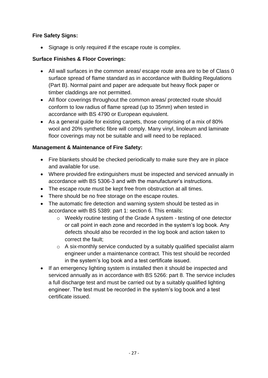# **Fire Safety Signs:**

• Signage is only required if the escape route is complex.

# **Surface Finishes & Floor Coverings:**

- All wall surfaces in the common areas/ escape route area are to be of Class 0 (Part B). Normal paint and paper are adequate but heavy flock paper or surface spread of flame standard as in accordance with Building Regulations timber claddings are not permitted.
- accordance with BS 4790 or European equivalent. All floor coverings throughout the common areas/ protected route should conform to low radius of flame spread (up to 35mm) when tested in
- As a general guide for existing carpets, those comprising of a mix of 80% floor coverings may not be suitable and will need to be replaced. wool and 20% synthetic fibre will comply. Many vinyl, linoleum and laminate

# **Management & Maintenance of Fire Safety:**

- Fire blankets should be checked periodically to make sure they are in place and available for use.
- Where provided fire extinguishers must be inspected and serviced annually in accordance with BS 5306-3 and with the manufacturer's instructions.
- The escape route must be kept free from obstruction at all times.
- There should be no free storage on the escape routes.
- The automatic fire detection and warning system should be tested as in accordance with BS 5389: part 1: section 6. This entails:
	- o Weekly routine testing of the Grade A system testing of one detector defects should also be recorded in the log book and action taken to correct the fault; or call point in each zone and recorded in the system's log book. Any
	- o A six-monthly service conducted by a suitably qualified specialist alarm engineer under a maintenance contract. This test should be recorded in the system's log book and a test certificate issued.
- If an emergency lighting system is installed then it should be inspected and serviced annually as in accordance with BS 5266: part 8. The service includes a full discharge test and must be carried out by a suitably qualified lighting engineer. The test must be recorded in the system's log book and a test certificate issued.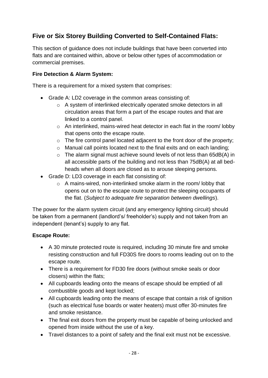# **Five or Six Storey Building Converted to Self-Contained Flats:**

This section of guidance does not include buildings that have been converted into flats and are contained within, above or below other types of accommodation or commercial premises.

# **Fire Detection & Alarm System:**

There is a requirement for a mixed system that comprises:

- Grade A: LD2 coverage in the common areas consisting of:
	- o A system of interlinked electrically operated smoke detectors in all circulation areas that form a part of the escape routes and that are linked to a control panel.
	- o An interlinked, mains-wired heat detector in each flat in the room/ lobby that opens onto the escape route.
	- $\circ$  The fire control panel located adjacent to the front door of the property;
	- o Manual call points located next to the final exits and on each landing;
	- o The alarm signal must achieve sound levels of not less than 65dB(A) in all accessible parts of the building and not less than 75dB(A) at all bedheads when all doors are closed as to arouse sleeping persons.
- Grade D: LD3 coverage in each flat consisting of:
	- the flat. (*Subject to adequate fire separation between dwellings*).  $\circ$  A mains-wired, non-interlinked smoke alarm in the room/ lobby that opens out on to the escape route to protect the sleeping occupants of

 be taken from a permanent (landlord's/ freeholder's) supply and not taken from an The power for the alarm system circuit (and any emergency lighting circuit) should independent (tenant's) supply to any flat.

# **Escape Route:**

- A 30 minute protected route is required, including 30 minute fire and smoke resisting construction and full FD30S fire doors to rooms leading out on to the escape route.
- closers) within the flats; There is a requirement for FD30 fire doors (without smoke seals or door
- combustible goods and kept locked; All cupboards leading onto the means of escape should be emptied of all
- and smoke resistance. All cupboards leading onto the means of escape that contain a risk of ignition (such as electrical fuse boards or water heaters) must offer 30-minutes fire
- The final exit doors from the property must be capable of being unlocked and opened from inside without the use of a key.
- Travel distances to a point of safety and the final exit must not be excessive.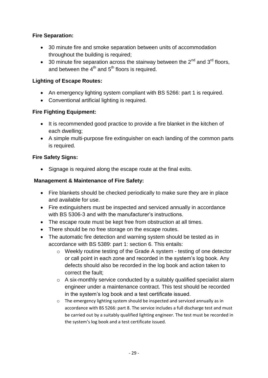# **Fire Separation:**

- 30 minute fire and smoke separation between units of accommodation throughout the building is required;
- 30 minute fire separation across the stairway between the  $2^{nd}$  and  $3^{rd}$  floors, and between the  $4<sup>th</sup>$  and  $5<sup>th</sup>$  floors is required.

# **Lighting of Escape Routes:**

- An emergency lighting system compliant with BS 5266: part 1 is required.
- Conventional artificial lighting is required.

# **Fire Fighting Equipment:**

- It is recommended good practice to provide a fire blanket in the kitchen of each dwelling;
- A simple multi-purpose fire extinguisher on each landing of the common parts is required.

# **Fire Safety Signs:**

• Signage is required along the escape route at the final exits.

# **Management & Maintenance of Fire Safety:**

- Fire blankets should be checked periodically to make sure they are in place and available for use.
- Fire extinguishers must be inspected and serviced annually in accordance with BS 5306-3 and with the manufacturer's instructions.
- The escape route must be kept free from obstruction at all times.
- There should be no free storage on the escape routes.
- The automatic fire detection and warning system should be tested as in accordance with BS 5389: part 1: section 6. This entails:
	- o Weekly routine testing of the Grade A system testing of one detector defects should also be recorded in the log book and action taken to correct the fault; or call point in each zone and recorded in the system's log book. Any
	- $\circ$  A six-monthly service conducted by a suitably qualified specialist alarm engineer under a maintenance contract. This test should be recorded in the system's log book and a test certificate issued.
	- o The emergency lighting system should be inspected and serviced annually as in accordance with BS 5266: part 8. The service includes a full discharge test and must be carried out by a suitably qualified lighting engineer. The test must be recorded in the system's log book and a test certificate issued.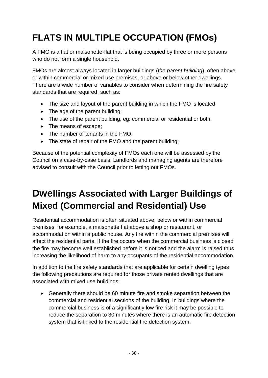# **FLATS IN MULTIPLE OCCUPATION (FMOs)**

who do not form a single household. A FMO is a flat or maisonette-flat that is being occupied by three or more persons

 There are a wide number of variables to consider when determining the fire safety FMOs are almost always located in larger buildings (*the parent building*), often above or within commercial or mixed use premises, or above or below other dwellings. standards that are required, such as:

- The size and layout of the parent building in which the FMO is located;
- The age of the parent building;
- The use of the parent building, eg: commercial or residential or both;
- The means of escape;
- The number of tenants in the FMO;
- The state of repair of the FMO and the parent building;

Because of the potential complexity of FMOs each one will be assessed by the advised to consult with the Council prior to letting out FMOs. Council on a case-by-case basis. Landlords and managing agents are therefore

# **Dwellings Associated with Larger Buildings of Mixed (Commercial and Residential) Use**

 premises, for example, a maisonette flat above a shop or restaurant, or affect the residential parts. If the fire occurs when the commercial business is closed the fire may become well established before it is noticed and the alarm is raised thus Residential accommodation is often situated above, below or within commercial accommodation within a public house. Any fire within the commercial premises will increasing the likelihood of harm to any occupants of the residential accommodation.

 associated with mixed use buildings: In addition to the fire safety standards that are applicable for certain dwelling types the following precautions are required for those private rented dwellings that are

 Generally there should be 60 minute fire and smoke separation between the commercial business is of a significantly low fire risk it may be possible to commercial and residential sections of the building. In buildings where the reduce the separation to 30 minutes where there is an automatic fire detection system that is linked to the residential fire detection system;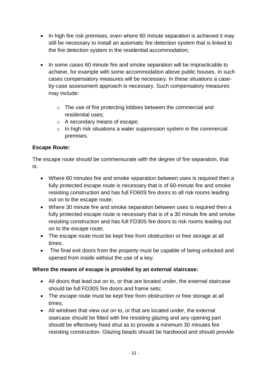- In high fire risk premises, even where 60 minute separation is achieved it may the fire detection system in the residential accommodation; still be necessary to install an automatic fire detection system that is linked to
- In some cases 60 minute fire and smoke separation will be impracticable to achieve, for example with some accommodation above public houses. In such cases compensatory measures will be necessary. In these situations a caseby-case assessment approach is necessary. Such compensatory measures may include:
	- o The use of fire protecting lobbies between the commercial and residential uses;
	- o A secondary means of escape;
	- $\circ$  In high risk situations a water suppression system in the commercial premises.

# **Escape Route:**

The escape route should be commensurate with the degree of fire separation, that is:

- Where 60 minutes fire and smoke separation between uses is required then a resisting construction and has full FD60S fire doors to all risk rooms leading fully protected escape route is necessary that is of 60-minute fire and smoke out on to the escape route;
- Where 30 minute fire and smoke separation between uses is required then a fully protected escape route is necessary that is of a 30 minute fire and smoke resisting construction and has full FD30S fire doors to risk rooms leading out on to the escape route;
- The escape route must be kept free from obstruction or free storage at all times.
- The final exit doors from the property must be capable of being unlocked and opened from inside without the use of a key.

# **Where the means of escape is provided by an external staircase:**

- should be full FD30S fire doors and frame sets; All doors that lead out on to, or that are located under, the external staircase
- The escape route must be kept free from obstruction or free storage at all times;
- staircase should be fitted with fire resisting glazing and any opening part should be effectively fixed shut as to provide a minimum 30 minutes fire All windows that view out on to, or that are located under, the external resisting construction. Glazing beads should be hardwood and should provide